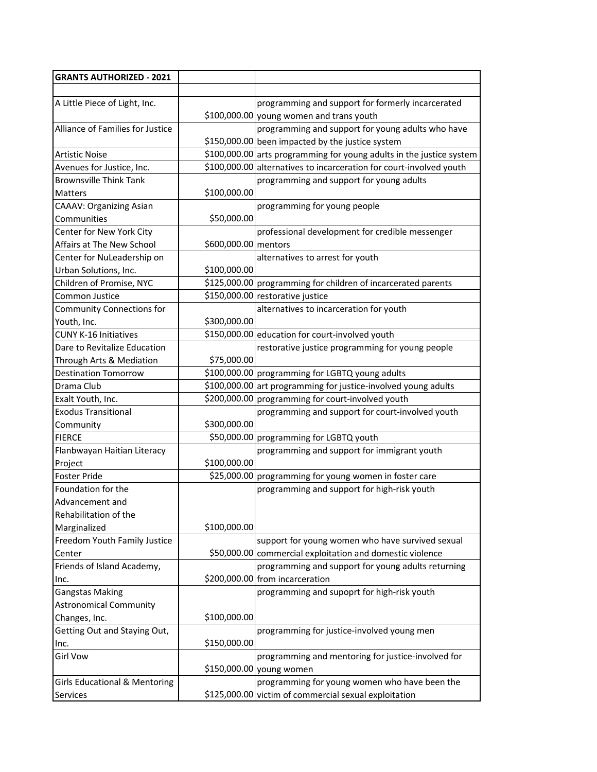| <b>GRANTS AUTHORIZED - 2021</b>          |                      |                                                                      |
|------------------------------------------|----------------------|----------------------------------------------------------------------|
|                                          |                      |                                                                      |
| A Little Piece of Light, Inc.            |                      | programming and support for formerly incarcerated                    |
|                                          |                      | \$100,000.00 young women and trans youth                             |
| <b>Alliance of Families for Justice</b>  |                      | programming and support for young adults who have                    |
|                                          |                      | \$150,000.00 been impacted by the justice system                     |
| Artistic Noise                           |                      | \$100,000.00 arts programming for young adults in the justice system |
| Avenues for Justice, Inc.                |                      | \$100,000.00 alternatives to incarceration for court-involved youth  |
| <b>Brownsville Think Tank</b>            |                      | programming and support for young adults                             |
| Matters                                  | \$100,000.00         |                                                                      |
| <b>CAAAV: Organizing Asian</b>           |                      | programming for young people                                         |
| Communities                              | \$50,000.00          |                                                                      |
| Center for New York City                 |                      | professional development for credible messenger                      |
| Affairs at The New School                | \$600,000.00 mentors |                                                                      |
| Center for NuLeadership on               |                      | alternatives to arrest for youth                                     |
| Urban Solutions, Inc.                    | \$100,000.00         |                                                                      |
| Children of Promise, NYC                 |                      | \$125,000.00 programming for children of incarcerated parents        |
| Common Justice                           |                      | \$150,000.00 restorative justice                                     |
| <b>Community Connections for</b>         |                      | alternatives to incarceration for youth                              |
| Youth, Inc.                              | \$300,000.00         |                                                                      |
| <b>CUNY K-16 Initiatives</b>             |                      | \$150,000.00 education for court-involved youth                      |
| Dare to Revitalize Education             |                      | restorative justice programming for young people                     |
| Through Arts & Mediation                 | \$75,000.00          |                                                                      |
| <b>Destination Tomorrow</b>              |                      | \$100,000.00 programming for LGBTQ young adults                      |
| Drama Club                               |                      | \$100,000.00 art programming for justice-involved young adults       |
| Exalt Youth, Inc.                        |                      | \$200,000.00 programming for court-involved youth                    |
| <b>Exodus Transitional</b>               |                      | programming and support for court-involved youth                     |
| Community                                | \$300,000.00         |                                                                      |
| <b>FIERCE</b>                            |                      | \$50,000.00 programming for LGBTQ youth                              |
| Flanbwayan Haitian Literacy              |                      | programming and support for immigrant youth                          |
| Project                                  | \$100,000.00         |                                                                      |
| Foster Pride                             |                      | \$25,000.00 programming for young women in foster care               |
| Foundation for the                       |                      | programming and support for high-risk youth                          |
| Advancement and                          |                      |                                                                      |
| Rehabilitation of the                    |                      |                                                                      |
| Marginalized                             | \$100,000.00         |                                                                      |
| Freedom Youth Family Justice             |                      | support for young women who have survived sexual                     |
| Center                                   |                      | \$50,000.00 commercial exploitation and domestic violence            |
| Friends of Island Academy,               |                      | programming and support for young adults returning                   |
| Inc.                                     |                      | \$200,000.00 from incarceration                                      |
| <b>Gangstas Making</b>                   |                      | programming and supoprt for high-risk youth                          |
| <b>Astronomical Community</b>            |                      |                                                                      |
| Changes, Inc.                            | \$100,000.00         |                                                                      |
| Getting Out and Staying Out,             |                      | programming for justice-involved young men                           |
| Inc.                                     | \$150,000.00         |                                                                      |
| <b>Girl Vow</b>                          |                      | programming and mentoring for justice-involved for                   |
|                                          |                      | \$150,000.00 young women                                             |
| <b>Girls Educational &amp; Mentoring</b> |                      | programming for young women who have been the                        |
| Services                                 |                      | \$125,000.00 victim of commercial sexual exploitation                |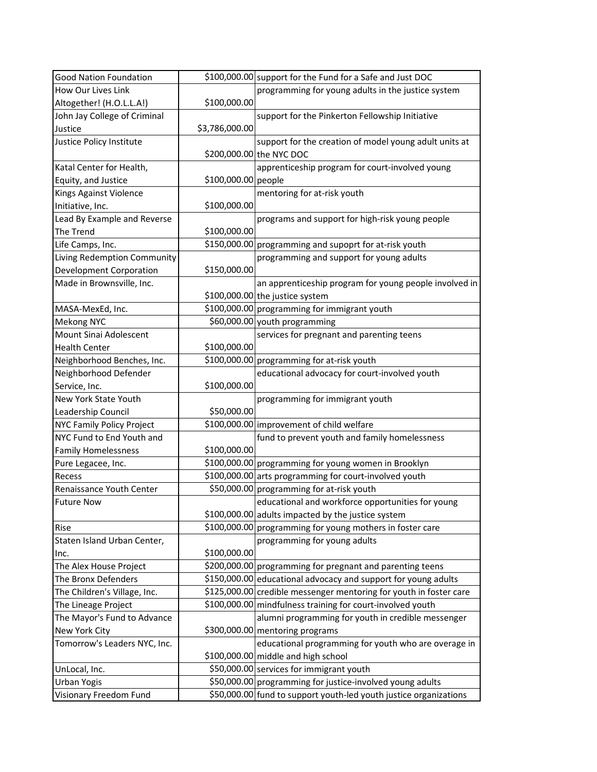| <b>Good Nation Foundation</b>    |                     | \$100,000.00 support for the Fund for a Safe and Just DOC          |
|----------------------------------|---------------------|--------------------------------------------------------------------|
| How Our Lives Link               |                     | programming for young adults in the justice system                 |
| Altogether! (H.O.L.L.A!)         | \$100,000.00        |                                                                    |
| John Jay College of Criminal     |                     | support for the Pinkerton Fellowship Initiative                    |
| Justice                          | \$3,786,000.00      |                                                                    |
| Justice Policy Institute         |                     | support for the creation of model young adult units at             |
|                                  |                     | \$200,000.00 the NYC DOC                                           |
| Katal Center for Health,         |                     | apprenticeship program for court-involved young                    |
| Equity, and Justice              | \$100,000.00 people |                                                                    |
| Kings Against Violence           |                     | mentoring for at-risk youth                                        |
| Initiative, Inc.                 | \$100,000.00        |                                                                    |
| Lead By Example and Reverse      |                     | programs and support for high-risk young people                    |
| The Trend                        | \$100,000.00        |                                                                    |
| Life Camps, Inc.                 |                     | \$150,000.00 programming and supoprt for at-risk youth             |
| Living Redemption Community      |                     | programming and support for young adults                           |
| <b>Development Corporation</b>   | \$150,000.00        |                                                                    |
| Made in Brownsville, Inc.        |                     | an apprenticeship program for young people involved in             |
|                                  |                     | \$100,000.00 the justice system                                    |
| MASA-MexEd, Inc.                 |                     | \$100,000.00 programming for immigrant youth                       |
| <b>Mekong NYC</b>                |                     | \$60,000.00 youth programming                                      |
| Mount Sinai Adolescent           |                     | services for pregnant and parenting teens                          |
| <b>Health Center</b>             | \$100,000.00        |                                                                    |
| Neighborhood Benches, Inc.       |                     | \$100,000.00 programming for at-risk youth                         |
| Neighborhood Defender            |                     | educational advocacy for court-involved youth                      |
| Service, Inc.                    | \$100,000.00        |                                                                    |
| New York State Youth             |                     | programming for immigrant youth                                    |
| Leadership Council               | \$50,000.00         |                                                                    |
| <b>NYC Family Policy Project</b> |                     | \$100,000.00 improvement of child welfare                          |
| NYC Fund to End Youth and        |                     | fund to prevent youth and family homelessness                      |
| <b>Family Homelessness</b>       | \$100,000.00        |                                                                    |
| Pure Legacee, Inc.               |                     | \$100,000.00 programming for young women in Brooklyn               |
| Recess                           |                     | \$100,000.00 arts programming for court-involved youth             |
| Renaissance Youth Center         |                     | \$50,000.00 programming for at-risk youth                          |
| <b>Future Now</b>                |                     | educational and workforce opportunities for young                  |
|                                  |                     | \$100,000.00 adults impacted by the justice system                 |
| Rise                             |                     | \$100,000.00 programming for young mothers in foster care          |
| Staten Island Urban Center,      |                     | programming for young adults                                       |
| Inc.                             | \$100,000.00        |                                                                    |
| The Alex House Project           |                     | \$200,000.00 programming for pregnant and parenting teens          |
| The Bronx Defenders              |                     | \$150,000.00 educational advocacy and support for young adults     |
| The Children's Village, Inc.     |                     | \$125,000.00 credible messenger mentoring for youth in foster care |
| The Lineage Project              |                     | \$100,000.00 mindfulness training for court-involved youth         |
| The Mayor's Fund to Advance      |                     | alumni programming for youth in credible messenger                 |
| New York City                    |                     | \$300,000.00 mentoring programs                                    |
| Tomorrow's Leaders NYC, Inc.     |                     | educational programming for youth who are overage in               |
|                                  |                     | \$100,000.00 middle and high school                                |
| UnLocal, Inc.                    |                     | \$50,000.00 services for immigrant youth                           |
| <b>Urban Yogis</b>               |                     | \$50,000.00 programming for justice-involved young adults          |
| Visionary Freedom Fund           |                     | \$50,000.00 fund to support youth-led youth justice organizations  |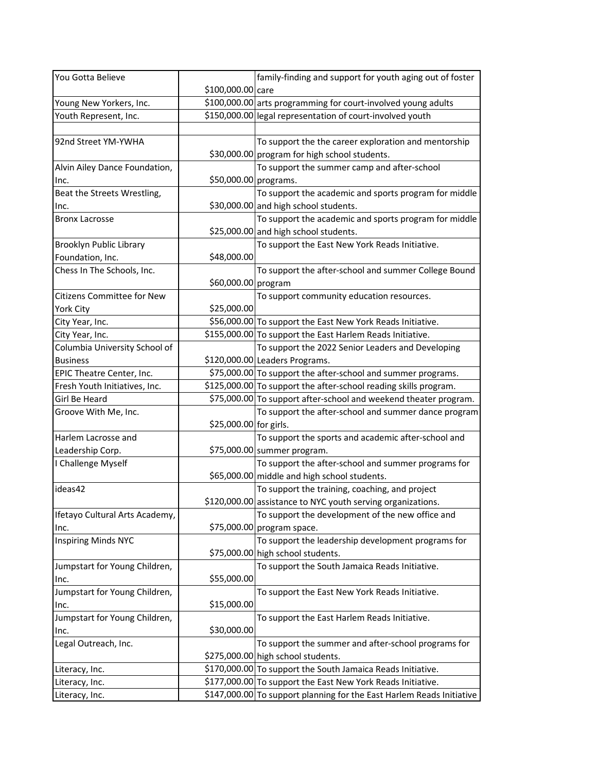| You Gotta Believe                 |                        | family-finding and support for youth aging out of foster              |
|-----------------------------------|------------------------|-----------------------------------------------------------------------|
|                                   | \$100,000.00 care      |                                                                       |
| Young New Yorkers, Inc.           |                        | \$100,000.00 arts programming for court-involved young adults         |
| Youth Represent, Inc.             |                        | \$150,000.00 legal representation of court-involved youth             |
|                                   |                        |                                                                       |
| 92nd Street YM-YWHA               |                        | To support the the career exploration and mentorship                  |
|                                   |                        | \$30,000.00 program for high school students.                         |
| Alvin Ailey Dance Foundation,     |                        | To support the summer camp and after-school                           |
| Inc.                              | \$50,000.00 programs.  |                                                                       |
| Beat the Streets Wrestling,       |                        | To support the academic and sports program for middle                 |
| Inc.                              |                        | \$30,000.00 and high school students.                                 |
| <b>Bronx Lacrosse</b>             |                        | To support the academic and sports program for middle                 |
|                                   |                        | \$25,000.00 and high school students.                                 |
| Brooklyn Public Library           |                        | To support the East New York Reads Initiative.                        |
| Foundation, Inc.                  | \$48,000.00            |                                                                       |
| Chess In The Schools, Inc.        |                        | To support the after-school and summer College Bound                  |
|                                   | \$60,000.00 program    |                                                                       |
| <b>Citizens Committee for New</b> |                        | To support community education resources.                             |
| <b>York City</b>                  | \$25,000.00            |                                                                       |
| City Year, Inc.                   |                        | \$56,000.00 To support the East New York Reads Initiative.            |
| City Year, Inc.                   |                        | \$155,000.00 To support the East Harlem Reads Initiative.             |
| Columbia University School of     |                        | To support the 2022 Senior Leaders and Developing                     |
| <b>Business</b>                   |                        | \$120,000.00 Leaders Programs.                                        |
| EPIC Theatre Center, Inc.         |                        | \$75,000.00 To support the after-school and summer programs.          |
| Fresh Youth Initiatives, Inc.     |                        | \$125,000.00 To support the after-school reading skills program.      |
| Girl Be Heard                     |                        | \$75,000.00 To support after-school and weekend theater program.      |
| Groove With Me, Inc.              |                        | To support the after-school and summer dance program                  |
|                                   | \$25,000.00 for girls. |                                                                       |
| Harlem Lacrosse and               |                        | To support the sports and academic after-school and                   |
| Leadership Corp.                  |                        | \$75,000.00 summer program.                                           |
| I Challenge Myself                |                        | To support the after-school and summer programs for                   |
|                                   |                        | \$65,000.00 middle and high school students.                          |
| ideas42                           |                        | To support the training, coaching, and project                        |
|                                   |                        | \$120,000.00 assistance to NYC youth serving organizations.           |
| Ifetayo Cultural Arts Academy,    |                        | To support the development of the new office and                      |
| Inc.                              |                        | \$75,000.00 program space.                                            |
| <b>Inspiring Minds NYC</b>        |                        | To support the leadership development programs for                    |
|                                   |                        | \$75,000.00 high school students.                                     |
| Jumpstart for Young Children,     |                        | To support the South Jamaica Reads Initiative.                        |
| Inc.                              | \$55,000.00            |                                                                       |
| Jumpstart for Young Children,     |                        | To support the East New York Reads Initiative.                        |
| Inc.                              | \$15,000.00            |                                                                       |
| Jumpstart for Young Children,     |                        | To support the East Harlem Reads Initiative.                          |
| Inc.                              | \$30,000.00            |                                                                       |
| Legal Outreach, Inc.              |                        | To support the summer and after-school programs for                   |
|                                   |                        | \$275,000.00 high school students.                                    |
| Literacy, Inc.                    |                        | \$170,000.00 To support the South Jamaica Reads Initiative.           |
| Literacy, Inc.                    |                        | \$177,000.00 To support the East New York Reads Initiative.           |
| Literacy, Inc.                    |                        | \$147,000.00 To support planning for the East Harlem Reads Initiative |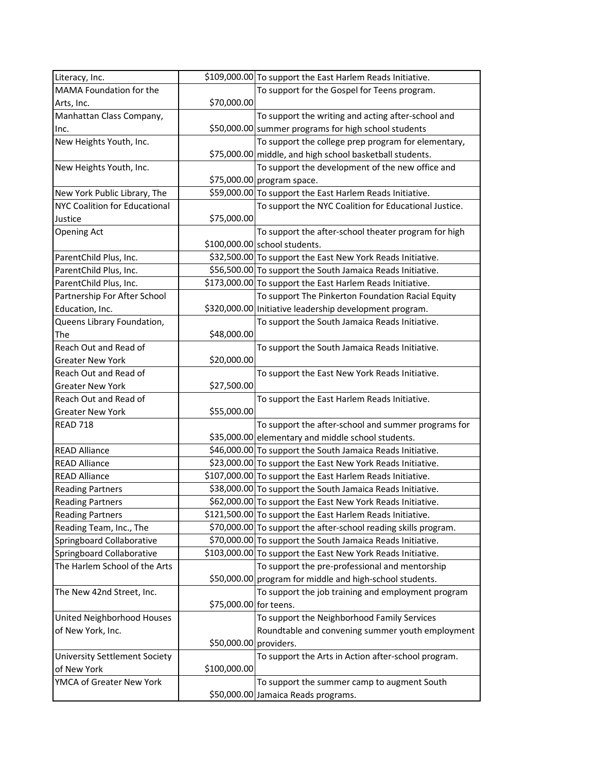| Literacy, Inc.                       |                        | \$109,000.00 To support the East Harlem Reads Initiative.       |
|--------------------------------------|------------------------|-----------------------------------------------------------------|
| MAMA Foundation for the              |                        | To support for the Gospel for Teens program.                    |
| Arts, Inc.                           | \$70,000.00            |                                                                 |
| Manhattan Class Company,             |                        | To support the writing and acting after-school and              |
| Inc.                                 |                        | \$50,000.00 summer programs for high school students            |
| New Heights Youth, Inc.              |                        | To support the college prep program for elementary,             |
|                                      |                        | \$75,000.00 middle, and high school basketball students.        |
| New Heights Youth, Inc.              |                        | To support the development of the new office and                |
|                                      |                        | \$75,000.00 program space.                                      |
| New York Public Library, The         |                        | \$59,000.00 To support the East Harlem Reads Initiative.        |
| <b>NYC Coalition for Educational</b> |                        | To support the NYC Coalition for Educational Justice.           |
| Justice                              | \$75,000.00            |                                                                 |
| <b>Opening Act</b>                   |                        | To support the after-school theater program for high            |
|                                      |                        | $$100,000.00$ school students.                                  |
| ParentChild Plus, Inc.               |                        | \$32,500.00 To support the East New York Reads Initiative.      |
| ParentChild Plus, Inc.               |                        | \$56,500.00 To support the South Jamaica Reads Initiative.      |
| ParentChild Plus, Inc.               |                        | \$173,000.00 To support the East Harlem Reads Initiative.       |
| Partnership For After School         |                        | To support The Pinkerton Foundation Racial Equity               |
| Education, Inc.                      |                        | \$320,000.00 Initiative leadership development program.         |
| Queens Library Foundation,           |                        | To support the South Jamaica Reads Initiative.                  |
| The                                  | \$48,000.00            |                                                                 |
| Reach Out and Read of                |                        | To support the South Jamaica Reads Initiative.                  |
| <b>Greater New York</b>              | \$20,000.00            |                                                                 |
| Reach Out and Read of                |                        | To support the East New York Reads Initiative.                  |
| <b>Greater New York</b>              | \$27,500.00            |                                                                 |
| Reach Out and Read of                |                        | To support the East Harlem Reads Initiative.                    |
| <b>Greater New York</b>              | \$55,000.00            |                                                                 |
| <b>READ 718</b>                      |                        | To support the after-school and summer programs for             |
|                                      |                        | \$35,000.00 elementary and middle school students.              |
| <b>READ Alliance</b>                 |                        | \$46,000.00 To support the South Jamaica Reads Initiative.      |
| <b>READ Alliance</b>                 |                        | \$23,000.00 To support the East New York Reads Initiative.      |
| <b>READ Alliance</b>                 |                        | \$107,000.00 To support the East Harlem Reads Initiative.       |
| <b>Reading Partners</b>              |                        | \$38,000.00 To support the South Jamaica Reads Initiative.      |
| <b>Reading Partners</b>              |                        | \$62,000.00 To support the East New York Reads Initiative.      |
| <b>Reading Partners</b>              |                        | \$121,500.00 To support the East Harlem Reads Initiative.       |
| Reading Team, Inc., The              |                        | \$70,000.00 To support the after-school reading skills program. |
| Springboard Collaborative            |                        | \$70,000.00 To support the South Jamaica Reads Initiative.      |
| Springboard Collaborative            |                        | \$103,000.00 To support the East New York Reads Initiative.     |
| The Harlem School of the Arts        |                        | To support the pre-professional and mentorship                  |
|                                      |                        | \$50,000.00 program for middle and high-school students.        |
| The New 42nd Street, Inc.            |                        | To support the job training and employment program              |
|                                      | \$75,000.00 for teens. |                                                                 |
| United Neighborhood Houses           |                        | To support the Neighborhood Family Services                     |
| of New York, Inc.                    |                        | Roundtable and convening summer youth employment                |
|                                      | \$50,000.00 providers. |                                                                 |
| <b>University Settlement Society</b> |                        | To support the Arts in Action after-school program.             |
| of New York                          | \$100,000.00           |                                                                 |
| YMCA of Greater New York             |                        | To support the summer camp to augment South                     |
|                                      |                        | \$50,000.00 Jamaica Reads programs.                             |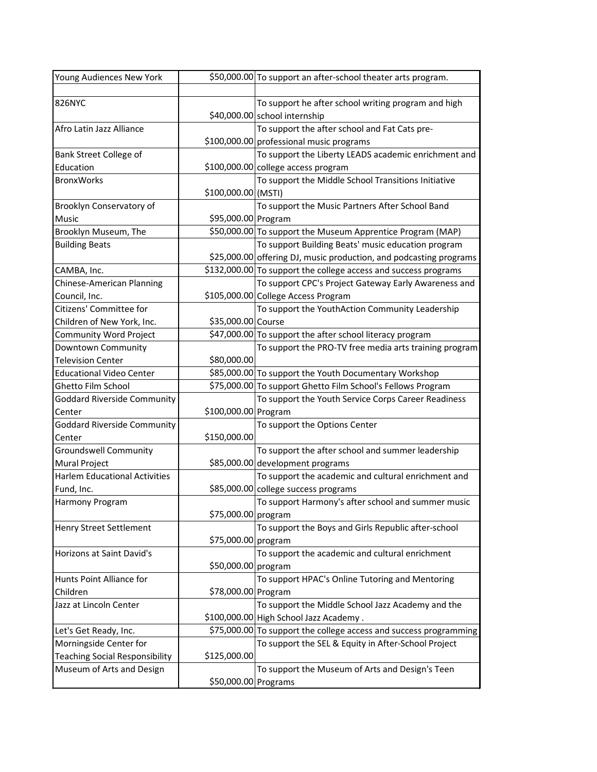| Young Audiences New York              |                      | \$50,000.00 To support an after-school theater arts program.       |
|---------------------------------------|----------------------|--------------------------------------------------------------------|
|                                       |                      |                                                                    |
| <b>826NYC</b>                         |                      | To support he after school writing program and high                |
|                                       |                      | \$40,000.00 school internship                                      |
| Afro Latin Jazz Alliance              |                      | To support the after school and Fat Cats pre-                      |
|                                       |                      | \$100,000.00 professional music programs                           |
| Bank Street College of                |                      | To support the Liberty LEADS academic enrichment and               |
| Education                             |                      | \$100,000.00 college access program                                |
| <b>BronxWorks</b>                     |                      | To support the Middle School Transitions Initiative                |
|                                       | \$100,000.00 (MSTI)  |                                                                    |
| Brooklyn Conservatory of              |                      | To support the Music Partners After School Band                    |
| Music                                 | \$95,000.00 Program  |                                                                    |
| Brooklyn Museum, The                  |                      | \$50,000.00 To support the Museum Apprentice Program (MAP)         |
| <b>Building Beats</b>                 |                      | To support Building Beats' music education program                 |
|                                       |                      | \$25,000.00 offering DJ, music production, and podcasting programs |
| CAMBA, Inc.                           |                      | \$132,000.00 To support the college access and success programs    |
| Chinese-American Planning             |                      | To support CPC's Project Gateway Early Awareness and               |
| Council, Inc.                         |                      | \$105,000.00 College Access Program                                |
| Citizens' Committee for               |                      | To support the YouthAction Community Leadership                    |
| Children of New York, Inc.            | \$35,000.00 Course   |                                                                    |
| Community Word Project                |                      | \$47,000.00 To support the after school literacy program           |
| Downtown Community                    |                      | To support the PRO-TV free media arts training program             |
| <b>Television Center</b>              | \$80,000.00          |                                                                    |
| <b>Educational Video Center</b>       |                      | \$85,000.00 To support the Youth Documentary Workshop              |
| Ghetto Film School                    |                      | \$75,000.00 To support Ghetto Film School's Fellows Program        |
| <b>Goddard Riverside Community</b>    |                      | To support the Youth Service Corps Career Readiness                |
| Center                                | \$100,000.00 Program |                                                                    |
| <b>Goddard Riverside Community</b>    |                      | To support the Options Center                                      |
| Center                                | \$150,000.00         |                                                                    |
| <b>Groundswell Community</b>          |                      | To support the after school and summer leadership                  |
| Mural Project                         |                      | \$85,000.00 development programs                                   |
| <b>Harlem Educational Activities</b>  |                      | To support the academic and cultural enrichment and                |
| Fund, Inc.                            |                      | \$85,000.00 college success programs                               |
| <b>Harmony Program</b>                |                      | To support Harmony's after school and summer music                 |
|                                       | \$75,000.00 program  |                                                                    |
| <b>Henry Street Settlement</b>        |                      | To support the Boys and Girls Republic after-school                |
|                                       | \$75,000.00 program  |                                                                    |
| Horizons at Saint David's             |                      | To support the academic and cultural enrichment                    |
|                                       | \$50,000.00 program  |                                                                    |
| Hunts Point Alliance for              |                      | To support HPAC's Online Tutoring and Mentoring                    |
| Children                              | \$78,000.00 Program  |                                                                    |
| Jazz at Lincoln Center                |                      | To support the Middle School Jazz Academy and the                  |
|                                       |                      | \$100,000.00 High School Jazz Academy.                             |
| Let's Get Ready, Inc.                 |                      | \$75,000.00 To support the college access and success programming  |
| Morningside Center for                |                      | To support the SEL & Equity in After-School Project                |
| <b>Teaching Social Responsibility</b> | \$125,000.00         |                                                                    |
| Museum of Arts and Design             |                      | To support the Museum of Arts and Design's Teen                    |
|                                       | \$50,000.00 Programs |                                                                    |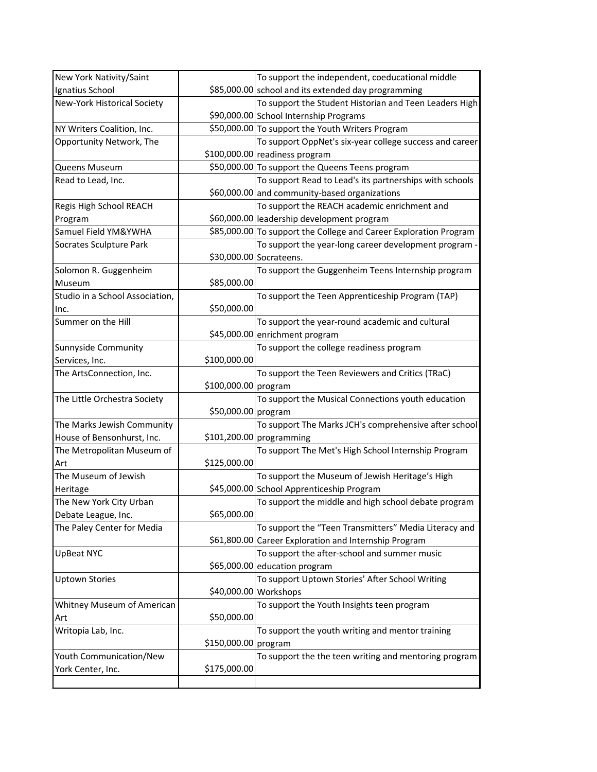| New York Nativity/Saint         |                       | To support the independent, coeducational middle                  |
|---------------------------------|-----------------------|-------------------------------------------------------------------|
| Ignatius School                 |                       | \$85,000.00 school and its extended day programming               |
| New-York Historical Society     |                       | To support the Student Historian and Teen Leaders High            |
|                                 |                       | \$90,000.00 School Internship Programs                            |
| NY Writers Coalition, Inc.      |                       | \$50,000.00 To support the Youth Writers Program                  |
| Opportunity Network, The        |                       | To support OppNet's six-year college success and career           |
|                                 |                       | $$100,000.00 $ readiness program                                  |
| Queens Museum                   |                       | \$50,000.00 To support the Queens Teens program                   |
| Read to Lead, Inc.              |                       | To support Read to Lead's its partnerships with schools           |
|                                 |                       | \$60,000.00 and community-based organizations                     |
| Regis High School REACH         |                       | To support the REACH academic enrichment and                      |
| Program                         |                       | \$60,000.00 leadership development program                        |
| Samuel Field YM&YWHA            |                       | \$85,000.00 To support the College and Career Exploration Program |
| Socrates Sculpture Park         |                       | To support the year-long career development program -             |
|                                 |                       | \$30,000.00 Socrateens.                                           |
| Solomon R. Guggenheim           |                       | To support the Guggenheim Teens Internship program                |
| Museum                          | \$85,000.00           |                                                                   |
| Studio in a School Association, |                       | To support the Teen Apprenticeship Program (TAP)                  |
| Inc.                            | \$50,000.00           |                                                                   |
| Summer on the Hill              |                       | To support the year-round academic and cultural                   |
|                                 |                       | \$45,000.00 enrichment program                                    |
| Sunnyside Community             |                       | To support the college readiness program                          |
| Services, Inc.                  | \$100,000.00          |                                                                   |
| The ArtsConnection, Inc.        |                       | To support the Teen Reviewers and Critics (TRaC)                  |
|                                 | \$100,000.00 program  |                                                                   |
| The Little Orchestra Society    |                       | To support the Musical Connections youth education                |
|                                 | \$50,000.00 program   |                                                                   |
| The Marks Jewish Community      |                       | To support The Marks JCH's comprehensive after school             |
| House of Bensonhurst, Inc.      |                       | $$101,200.00$ programming                                         |
| The Metropolitan Museum of      |                       | To support The Met's High School Internship Program               |
| Art                             | \$125,000.00          |                                                                   |
| The Museum of Jewish            |                       | To support the Museum of Jewish Heritage's High                   |
| Heritage                        |                       | \$45,000.00 School Apprenticeship Program                         |
| The New York City Urban         |                       | To support the middle and high school debate program              |
| Debate League, Inc.             | \$65,000.00           |                                                                   |
| The Paley Center for Media      |                       | To support the "Teen Transmitters" Media Literacy and             |
|                                 |                       | \$61,800.00 Career Exploration and Internship Program             |
| <b>UpBeat NYC</b>               |                       | To support the after-school and summer music                      |
|                                 |                       | \$65,000.00 education program                                     |
| <b>Uptown Stories</b>           |                       | To support Uptown Stories' After School Writing                   |
|                                 | \$40,000.00 Workshops |                                                                   |
| Whitney Museum of American      |                       | To support the Youth Insights teen program                        |
| Art                             | \$50,000.00           |                                                                   |
| Writopia Lab, Inc.              |                       | To support the youth writing and mentor training                  |
|                                 | \$150,000.00 program  |                                                                   |
|                                 |                       |                                                                   |
| Youth Communication/New         |                       | To support the the teen writing and mentoring program             |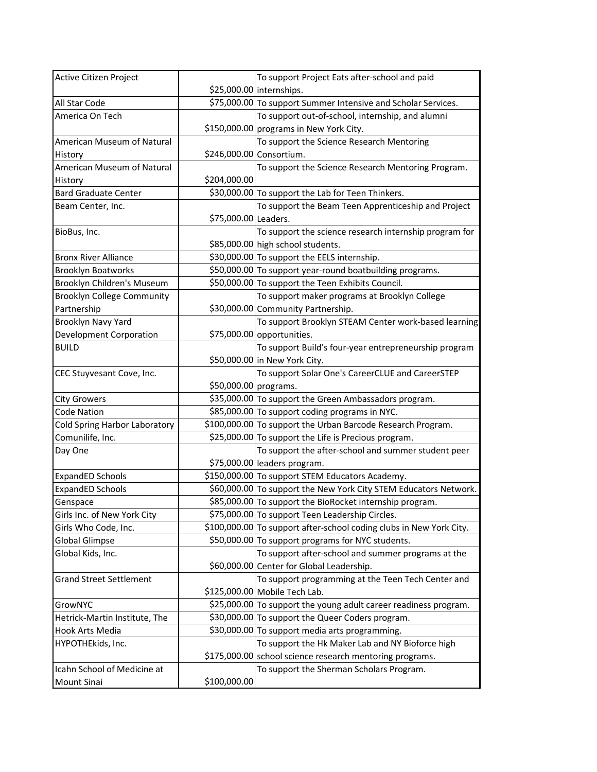| Active Citizen Project            |                          | To support Project Eats after-school and paid                       |
|-----------------------------------|--------------------------|---------------------------------------------------------------------|
|                                   |                          | \$25,000.00 internships.                                            |
| All Star Code                     |                          | \$75,000.00 To support Summer Intensive and Scholar Services.       |
| America On Tech                   |                          | To support out-of-school, internship, and alumni                    |
|                                   |                          | \$150,000.00 programs in New York City.                             |
| American Museum of Natural        |                          | To support the Science Research Mentoring                           |
| History                           | \$246,000.00 Consortium. |                                                                     |
| American Museum of Natural        |                          | To support the Science Research Mentoring Program.                  |
| History                           | \$204,000.00             |                                                                     |
| <b>Bard Graduate Center</b>       |                          | \$30,000.00 To support the Lab for Teen Thinkers.                   |
| Beam Center, Inc.                 |                          | To support the Beam Teen Apprenticeship and Project                 |
|                                   | \$75,000.00 Leaders.     |                                                                     |
| BioBus, Inc.                      |                          | To support the science research internship program for              |
|                                   |                          | \$85,000.00 high school students.                                   |
| <b>Bronx River Alliance</b>       |                          | \$30,000.00 To support the EELS internship.                         |
| <b>Brooklyn Boatworks</b>         |                          | \$50,000.00 To support year-round boatbuilding programs.            |
| Brooklyn Children's Museum        |                          | \$50,000.00 To support the Teen Exhibits Council.                   |
| <b>Brooklyn College Community</b> |                          | To support maker programs at Brooklyn College                       |
| Partnership                       |                          | \$30,000.00 Community Partnership.                                  |
| Brooklyn Navy Yard                |                          | To support Brooklyn STEAM Center work-based learning                |
| <b>Development Corporation</b>    |                          | $$75,000.00$ opportunities.                                         |
| <b>BUILD</b>                      |                          | To support Build's four-year entrepreneurship program               |
|                                   |                          | \$50,000.00 in New York City.                                       |
| CEC Stuyvesant Cove, Inc.         |                          | To support Solar One's CareerCLUE and CareerSTEP                    |
|                                   | \$50,000.00 programs.    |                                                                     |
| City Growers                      |                          | \$35,000.00 To support the Green Ambassadors program.               |
| <b>Code Nation</b>                |                          | \$85,000.00 To support coding programs in NYC.                      |
| Cold Spring Harbor Laboratory     |                          | \$100,000.00 To support the Urban Barcode Research Program.         |
| Comunilife, Inc.                  |                          | \$25,000.00 To support the Life is Precious program.                |
| Day One                           |                          | To support the after-school and summer student peer                 |
|                                   |                          | \$75,000.00 leaders program.                                        |
| <b>ExpandED Schools</b>           |                          | \$150,000.00 To support STEM Educators Academy.                     |
| <b>ExpandED Schools</b>           |                          | \$60,000.00 To support the New York City STEM Educators Network.    |
| Genspace                          |                          | \$85,000.00 To support the BioRocket internship program.            |
| Girls Inc. of New York City       |                          | \$75,000.00 To support Teen Leadership Circles.                     |
| Girls Who Code, Inc.              |                          | \$100,000.00 To support after-school coding clubs in New York City. |
| <b>Global Glimpse</b>             |                          | \$50,000.00 To support programs for NYC students.                   |
| Global Kids, Inc.                 |                          | To support after-school and summer programs at the                  |
|                                   |                          | \$60,000.00 Center for Global Leadership.                           |
| <b>Grand Street Settlement</b>    |                          | To support programming at the Teen Tech Center and                  |
|                                   |                          | \$125,000.00 Mobile Tech Lab.                                       |
| GrowNYC                           |                          | \$25,000.00 To support the young adult career readiness program.    |
| Hetrick-Martin Institute, The     |                          | \$30,000.00 To support the Queer Coders program.                    |
| Hook Arts Media                   |                          | \$30,000.00 To support media arts programming.                      |
| HYPOTHEkids, Inc.                 |                          | To support the Hk Maker Lab and NY Bioforce high                    |
|                                   |                          | \$175,000.00 school science research mentoring programs.            |
| Icahn School of Medicine at       |                          | To support the Sherman Scholars Program.                            |
| <b>Mount Sinai</b>                | \$100,000.00             |                                                                     |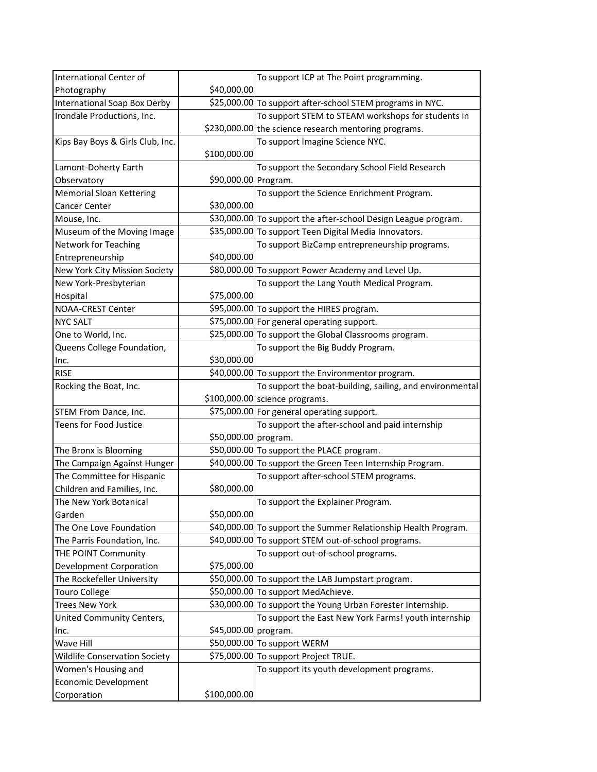| International Center of              |                      | To support ICP at The Point programming.                       |
|--------------------------------------|----------------------|----------------------------------------------------------------|
| Photography                          | \$40,000.00          |                                                                |
| International Soap Box Derby         |                      | \$25,000.00 To support after-school STEM programs in NYC.      |
| Irondale Productions, Inc.           |                      | To support STEM to STEAM workshops for students in             |
|                                      |                      | \$230,000.00 the science research mentoring programs.          |
| Kips Bay Boys & Girls Club, Inc.     |                      | To support Imagine Science NYC.                                |
|                                      | \$100,000.00         |                                                                |
| Lamont-Doherty Earth                 |                      | To support the Secondary School Field Research                 |
| Observatory                          | \$90,000.00 Program. |                                                                |
| <b>Memorial Sloan Kettering</b>      |                      | To support the Science Enrichment Program.                     |
| <b>Cancer Center</b>                 | \$30,000.00          |                                                                |
| Mouse, Inc.                          |                      | \$30,000.00 To support the after-school Design League program. |
| Museum of the Moving Image           |                      | \$35,000.00 To support Teen Digital Media Innovators.          |
| <b>Network for Teaching</b>          |                      | To support BizCamp entrepreneurship programs.                  |
| Entrepreneurship                     | \$40,000.00          |                                                                |
| New York City Mission Society        |                      | \$80,000.00 To support Power Academy and Level Up.             |
| New York-Presbyterian                |                      | To support the Lang Youth Medical Program.                     |
| Hospital                             | \$75,000.00          |                                                                |
| <b>NOAA-CREST Center</b>             |                      | \$95,000.00 To support the HIRES program.                      |
| <b>NYC SALT</b>                      |                      | \$75,000.00 For general operating support.                     |
| One to World, Inc.                   |                      | \$25,000.00 To support the Global Classrooms program.          |
| Queens College Foundation,           |                      | To support the Big Buddy Program.                              |
| Inc.                                 | \$30,000.00          |                                                                |
| <b>RISE</b>                          |                      | \$40,000.00 To support the Environmentor program.              |
| Rocking the Boat, Inc.               |                      | To support the boat-building, sailing, and environmental       |
|                                      |                      | $$100,000.00$ science programs.                                |
|                                      |                      |                                                                |
| STEM From Dance, Inc.                |                      | \$75,000.00 For general operating support.                     |
| Teens for Food Justice               |                      | To support the after-school and paid internship                |
|                                      | \$50,000.00 program. |                                                                |
| The Bronx is Blooming                |                      | \$50,000.00 To support the PLACE program.                      |
| The Campaign Against Hunger          |                      | \$40,000.00 To support the Green Teen Internship Program.      |
| The Committee for Hispanic           |                      | To support after-school STEM programs.                         |
| Children and Families, Inc.          | \$80,000.00          |                                                                |
| The New York Botanical               |                      | To support the Explainer Program.                              |
| Garden                               | \$50,000.00          |                                                                |
| The One Love Foundation              |                      | \$40,000.00 To support the Summer Relationship Health Program. |
| The Parris Foundation, Inc.          |                      | \$40,000.00 To support STEM out-of-school programs.            |
| THE POINT Community                  |                      | To support out-of-school programs.                             |
| <b>Development Corporation</b>       | \$75,000.00          |                                                                |
| The Rockefeller University           |                      | \$50,000.00 To support the LAB Jumpstart program.              |
| <b>Touro College</b>                 |                      | \$50,000.00 To support MedAchieve.                             |
| <b>Trees New York</b>                |                      | \$30,000.00 To support the Young Urban Forester Internship.    |
| United Community Centers,            |                      | To support the East New York Farms! youth internship           |
| Inc.                                 | \$45,000.00 program. |                                                                |
| Wave Hill                            |                      | \$50,000.00 To support WERM                                    |
| <b>Wildlife Conservation Society</b> |                      | \$75,000.00 To support Project TRUE.                           |
| Women's Housing and                  |                      | To support its youth development programs.                     |
| Economic Development                 |                      |                                                                |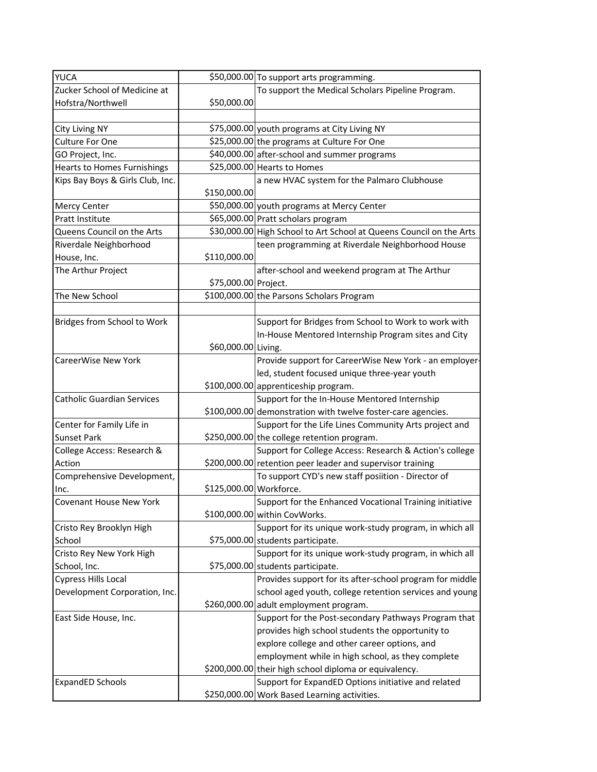| <b>YUCA</b>                        |                         | \$50,000.00 To support arts programming.                            |
|------------------------------------|-------------------------|---------------------------------------------------------------------|
| Zucker School of Medicine at       |                         | To support the Medical Scholars Pipeline Program.                   |
| Hofstra/Northwell                  | \$50,000.00             |                                                                     |
|                                    |                         |                                                                     |
| <b>City Living NY</b>              |                         | \$75,000.00 youth programs at City Living NY                        |
| <b>Culture For One</b>             |                         | \$25,000.00 the programs at Culture For One                         |
| GO Project, Inc.                   |                         | \$40,000.00 after-school and summer programs                        |
| <b>Hearts to Homes Furnishings</b> |                         | \$25,000.00 Hearts to Homes                                         |
| Kips Bay Boys & Girls Club, Inc.   |                         | a new HVAC system for the Palmaro Clubhouse                         |
|                                    | \$150,000.00            |                                                                     |
| <b>Mercy Center</b>                |                         | \$50,000.00 youth programs at Mercy Center                          |
| Pratt Institute                    |                         | \$65,000.00 Pratt scholars program                                  |
| Queens Council on the Arts         |                         | \$30,000.00 High School to Art School at Queens Council on the Arts |
| Riverdale Neighborhood             |                         | teen programming at Riverdale Neighborhood House                    |
| House, Inc.                        | \$110,000.00            |                                                                     |
| The Arthur Project                 |                         | after-school and weekend program at The Arthur                      |
|                                    | \$75,000.00 Project.    |                                                                     |
| The New School                     |                         | \$100,000.00 the Parsons Scholars Program                           |
|                                    |                         |                                                                     |
| Bridges from School to Work        |                         | Support for Bridges from School to Work to work with                |
|                                    |                         | In-House Mentored Internship Program sites and City                 |
|                                    | \$60,000.00 Living.     |                                                                     |
| <b>CareerWise New York</b>         |                         | Provide support for CareerWise New York - an employer-              |
|                                    |                         | led, student focused unique three-year youth                        |
|                                    |                         | \$100,000.00 apprenticeship program.                                |
| <b>Catholic Guardian Services</b>  |                         | Support for the In-House Mentored Internship                        |
|                                    |                         | \$100,000.00 demonstration with twelve foster-care agencies.        |
| Center for Family Life in          |                         | Support for the Life Lines Community Arts project and               |
| <b>Sunset Park</b>                 |                         | \$250,000.00 the college retention program.                         |
| College Access: Research &         |                         | Support for College Access: Research & Action's college             |
| Action                             |                         | \$200,000.00 retention peer leader and supervisor training          |
| Comprehensive Development,         |                         | To support CYD's new staff posiition - Director of                  |
| Inc.                               | \$125,000.00 Workforce. |                                                                     |
| <b>Covenant House New York</b>     |                         | Support for the Enhanced Vocational Training initiative             |
|                                    |                         | \$100,000.00 within CovWorks.                                       |
| Cristo Rey Brooklyn High           |                         | Support for its unique work-study program, in which all             |
| School                             |                         | \$75,000.00 students participate.                                   |
| Cristo Rey New York High           |                         | Support for its unique work-study program, in which all             |
| School, Inc.                       |                         | \$75,000.00 students participate.                                   |
| <b>Cypress Hills Local</b>         |                         | Provides support for its after-school program for middle            |
| Development Corporation, Inc.      |                         | school aged youth, college retention services and young             |
|                                    |                         | \$260,000.00 adult employment program.                              |
| East Side House, Inc.              |                         | Support for the Post-secondary Pathways Program that                |
|                                    |                         | provides high school students the opportunity to                    |
|                                    |                         | explore college and other career options, and                       |
|                                    |                         | employment while in high school, as they complete                   |
|                                    |                         | \$200,000.00 their high school diploma or equivalency.              |
| <b>ExpandED Schools</b>            |                         | Support for ExpandED Options initiative and related                 |
|                                    |                         | \$250,000.00 Work Based Learning activities.                        |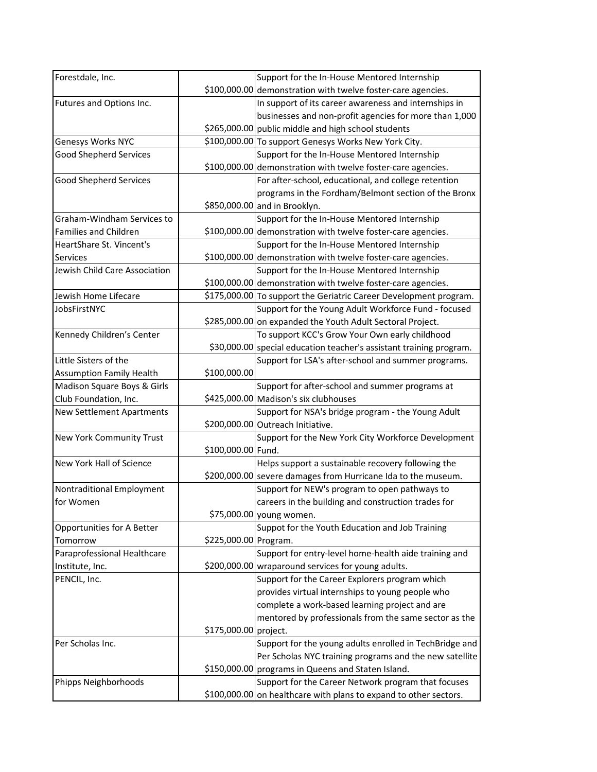| Forestdale, Inc.                 |                       | Support for the In-House Mentored Internship                        |
|----------------------------------|-----------------------|---------------------------------------------------------------------|
|                                  |                       | \$100,000.00 demonstration with twelve foster-care agencies.        |
| Futures and Options Inc.         |                       | In support of its career awareness and internships in               |
|                                  |                       | businesses and non-profit agencies for more than 1,000              |
|                                  |                       | \$265,000.00 public middle and high school students                 |
| Genesys Works NYC                |                       | \$100,000.00 To support Genesys Works New York City.                |
| <b>Good Shepherd Services</b>    |                       | Support for the In-House Mentored Internship                        |
|                                  |                       | \$100,000.00 demonstration with twelve foster-care agencies.        |
| <b>Good Shepherd Services</b>    |                       | For after-school, educational, and college retention                |
|                                  |                       | programs in the Fordham/Belmont section of the Bronx                |
|                                  |                       | \$850,000.00 and in Brooklyn.                                       |
| Graham-Windham Services to       |                       | Support for the In-House Mentored Internship                        |
| <b>Families and Children</b>     |                       | \$100,000.00 demonstration with twelve foster-care agencies.        |
| HeartShare St. Vincent's         |                       | Support for the In-House Mentored Internship                        |
| Services                         |                       | \$100,000.00 demonstration with twelve foster-care agencies.        |
| Jewish Child Care Association    |                       | Support for the In-House Mentored Internship                        |
|                                  |                       | \$100,000.00 demonstration with twelve foster-care agencies.        |
| Jewish Home Lifecare             |                       | \$175,000.00 To support the Geriatric Career Development program.   |
| JobsFirstNYC                     |                       | Support for the Young Adult Workforce Fund - focused                |
|                                  |                       | \$285,000.00 on expanded the Youth Adult Sectoral Project.          |
| Kennedy Children's Center        |                       | To support KCC's Grow Your Own early childhood                      |
|                                  |                       | \$30,000.00 special education teacher's assistant training program. |
| Little Sisters of the            |                       | Support for LSA's after-school and summer programs.                 |
| <b>Assumption Family Health</b>  | \$100,000.00          |                                                                     |
| Madison Square Boys & Girls      |                       | Support for after-school and summer programs at                     |
| Club Foundation, Inc.            |                       | \$425,000.00 Madison's six clubhouses                               |
| <b>New Settlement Apartments</b> |                       | Support for NSA's bridge program - the Young Adult                  |
|                                  |                       | \$200,000.00 Outreach Initiative.                                   |
| New York Community Trust         |                       | Support for the New York City Workforce Development                 |
|                                  | \$100,000.00 Fund.    |                                                                     |
| New York Hall of Science         |                       | Helps support a sustainable recovery following the                  |
|                                  |                       | \$200,000.00 severe damages from Hurricane Ida to the museum.       |
| Nontraditional Employment        |                       | Support for NEW's program to open pathways to                       |
| for Women                        |                       | careers in the building and construction trades for                 |
|                                  |                       | \$75,000.00 young women.                                            |
| Opportunities for A Better       |                       | Suppot for the Youth Education and Job Training                     |
| Tomorrow                         | \$225,000.00 Program. |                                                                     |
| Paraprofessional Healthcare      |                       | Support for entry-level home-health aide training and               |
| Institute, Inc.                  |                       | \$200,000.00 wraparound services for young adults.                  |
| PENCIL, Inc.                     |                       | Support for the Career Explorers program which                      |
|                                  |                       | provides virtual internships to young people who                    |
|                                  |                       | complete a work-based learning project and are                      |
|                                  |                       | mentored by professionals from the same sector as the               |
|                                  | \$175,000.00 project. |                                                                     |
| Per Scholas Inc.                 |                       | Support for the young adults enrolled in TechBridge and             |
|                                  |                       | Per Scholas NYC training programs and the new satellite             |
|                                  |                       | \$150,000.00 programs in Queens and Staten Island.                  |
| Phipps Neighborhoods             |                       | Support for the Career Network program that focuses                 |
|                                  |                       | \$100,000.00 on healthcare with plans to expand to other sectors.   |